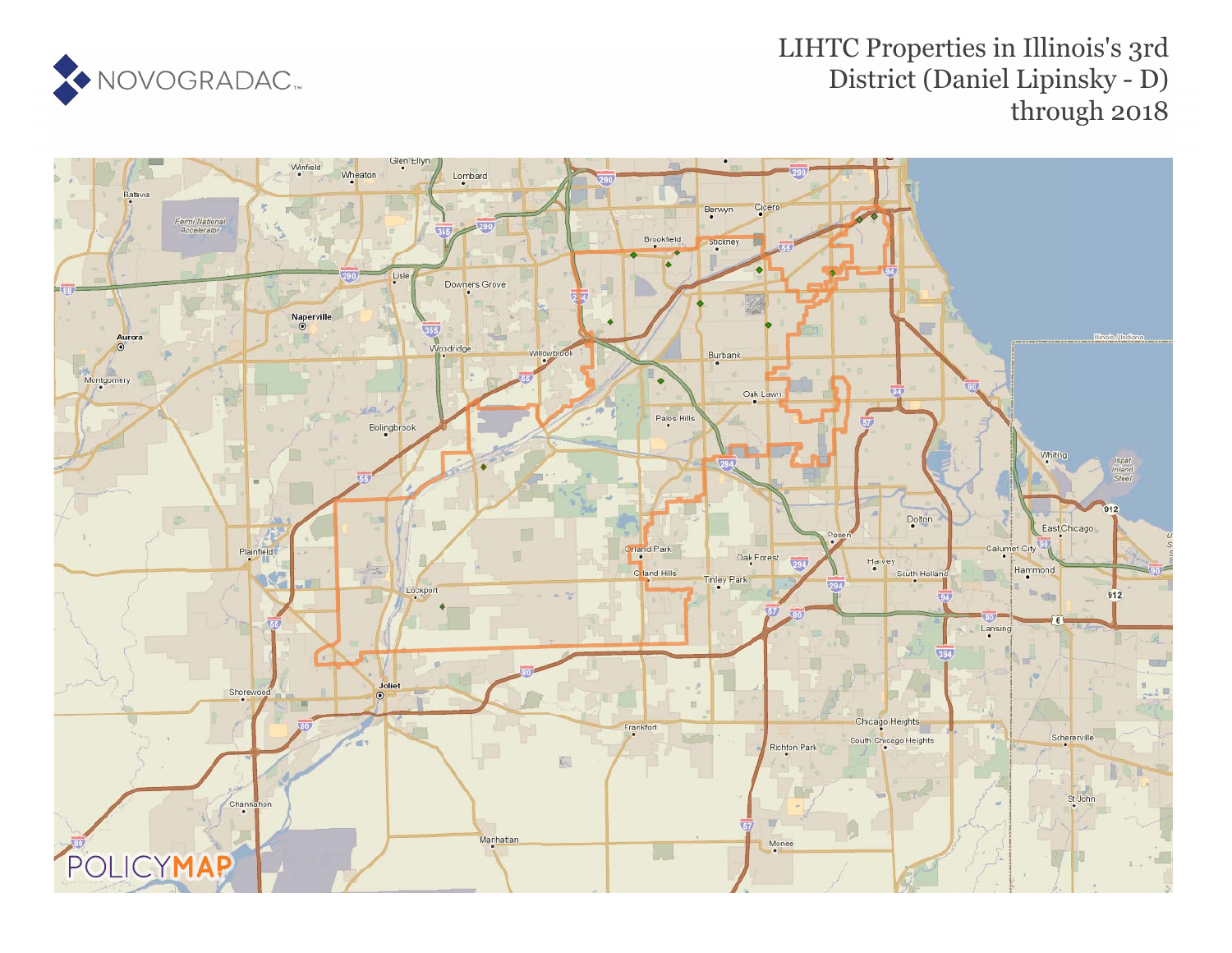

## LIHTC Properties in Illinois's 3rd District (Daniel Lipinsky - D) through 2018

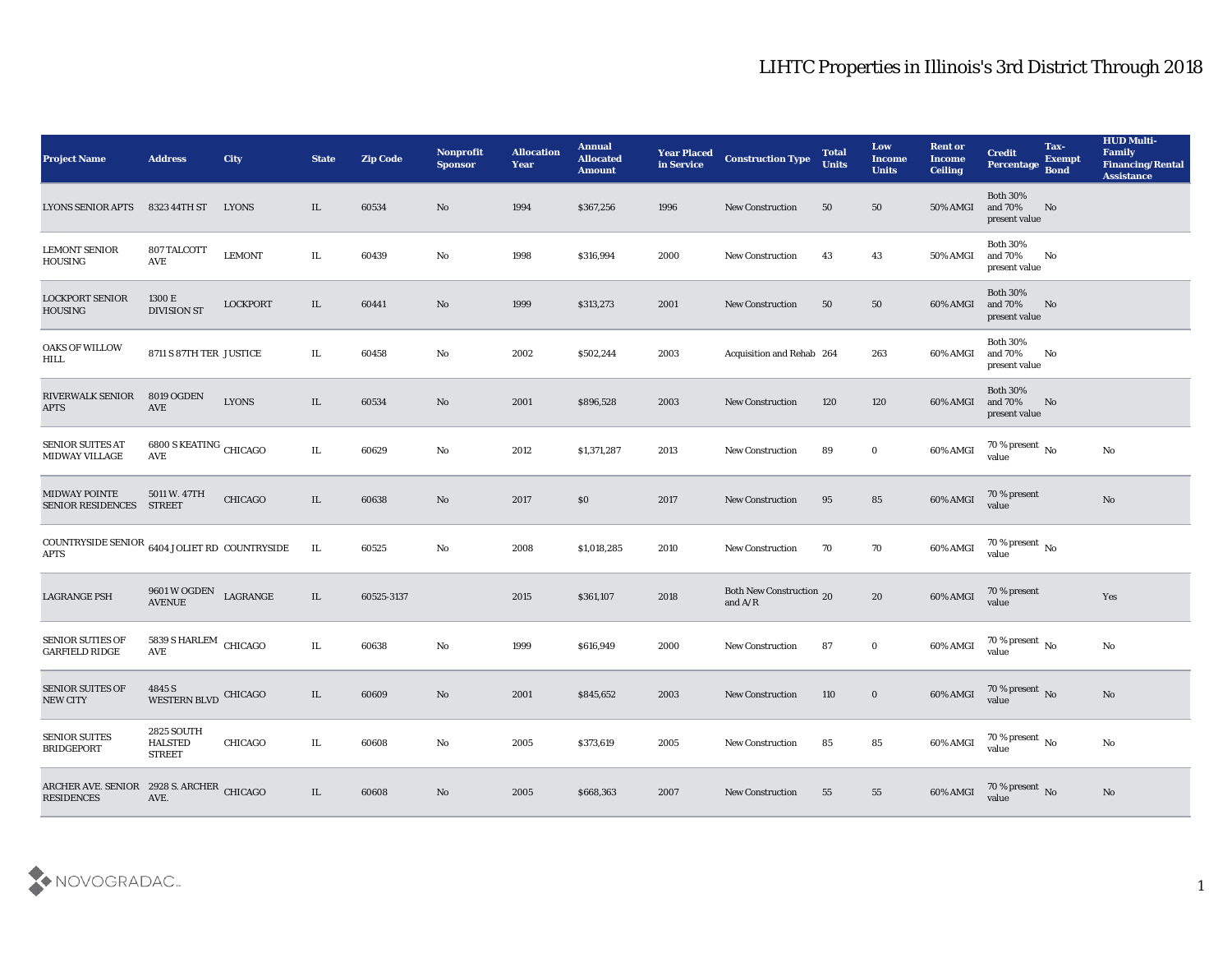## LIHTC Properties in Illinois's 3rd District Through 2018

| <b>Project Name</b>                                                    | <b>Address</b>                                       | City             | <b>State</b> | <b>Zip Code</b> | Nonprofit<br><b>Sponsor</b> | <b>Allocation</b><br><b>Year</b> | <b>Annual</b><br><b>Allocated</b><br><b>Amount</b> | <b>Year Placed</b><br>in Service | <b>Construction Type</b>              | <b>Total</b><br><b>Units</b> | Low<br><b>Income</b><br><b>Units</b> | <b>Rent or</b><br><b>Income</b><br><b>Ceiling</b> | <b>Credit</b><br><b>Percentage</b>          | Tax-<br><b>Exempt</b><br><b>Bond</b> | <b>HUD Multi-</b><br>Family<br><b>Financing/Rental</b><br><b>Assistance</b> |
|------------------------------------------------------------------------|------------------------------------------------------|------------------|--------------|-----------------|-----------------------------|----------------------------------|----------------------------------------------------|----------------------------------|---------------------------------------|------------------------------|--------------------------------------|---------------------------------------------------|---------------------------------------------|--------------------------------------|-----------------------------------------------------------------------------|
| <b>LYONS SENIOR APTS</b>                                               | 8323 44TH ST                                         | <b>LYONS</b>     | IL           | 60534           | No                          | 1994                             | \$367,256                                          | 1996                             | <b>New Construction</b>               | 50                           | 50                                   | 50% AMGI                                          | <b>Both 30%</b><br>and 70%<br>present value | No                                   |                                                                             |
| <b>LEMONT SENIOR</b><br><b>HOUSING</b>                                 | 807 TALCOTT<br>AVE                                   | <b>LEMONT</b>    | IL           | 60439           | No                          | 1998                             | \$316,994                                          | 2000                             | <b>New Construction</b>               | 43                           | 43                                   | 50% AMGI                                          | <b>Both 30%</b><br>and 70%<br>present value | No                                   |                                                                             |
| <b>LOCKPORT SENIOR</b><br><b>HOUSING</b>                               | 1300 E<br><b>DIVISION ST</b>                         | <b>LOCKPORT</b>  | IL           | 60441           | No                          | 1999                             | \$313,273                                          | 2001                             | <b>New Construction</b>               | 50                           | 50                                   | 60% AMGI                                          | <b>Both 30%</b><br>and 70%<br>present value | No                                   |                                                                             |
| OAKS OF WILLOW<br><b>HILL</b>                                          | 8711 S 87TH TER JUSTICE                              |                  | IL           | 60458           | No                          | 2002                             | \$502,244                                          | 2003                             | Acquisition and Rehab 264             |                              | 263                                  | 60% AMGI                                          | <b>Both 30%</b><br>and 70%<br>present value | No                                   |                                                                             |
| RIVERWALK SENIOR<br><b>APTS</b>                                        | <b>8019 OGDEN</b><br>AVE                             | <b>LYONS</b>     | IL           | 60534           | No                          | 2001                             | \$896,528                                          | 2003                             | <b>New Construction</b>               | 120                          | 120                                  | 60% AMGI                                          | <b>Both 30%</b><br>and 70%<br>present value | No                                   |                                                                             |
| <b>SENIOR SUITES AT</b><br><b>MIDWAY VILLAGE</b>                       | $6800$ S KEATING $_{\rm CHICAGO}$<br>AVE             |                  | IL           | 60629           | No                          | 2012                             | \$1,371,287                                        | 2013                             | New Construction                      | 89                           | $\bf{0}$                             | 60% AMGI                                          | 70 % present $\,$ No $\,$<br>value          |                                      | No                                                                          |
| <b>MIDWAY POINTE</b><br><b>SENIOR RESIDENCES</b>                       | 5011 W. 47TH<br><b>STREET</b>                        | CHICAGO          | IL           | 60638           | No                          | 2017                             | \$0                                                | 2017                             | <b>New Construction</b>               | 95                           | 85                                   | 60% AMGI                                          | 70 % present<br>value                       |                                      | No                                                                          |
| COUNTRYSIDE SENIOR $\,$ 6404 JOLIET RD $\,$ COUNTRYSIDE<br><b>APTS</b> |                                                      |                  | IL           | 60525           | No                          | 2008                             | \$1,018,285                                        | 2010                             | <b>New Construction</b>               | 70                           | 70                                   | 60% AMGI                                          | 70 % present $\,$ No $\,$<br>value          |                                      |                                                                             |
| <b>LAGRANGE PSH</b>                                                    | 9601 W OGDEN<br><b>AVENUE</b>                        | ${\rm LAGRANGE}$ | IL           | 60525-3137      |                             | 2015                             | \$361,107                                          | 2018                             | Both New Construction 20<br>and $A/R$ |                              | 20                                   | 60% AMGI                                          | 70 % present<br>value                       |                                      | Yes                                                                         |
| <b>SENIOR SUTIES OF</b><br><b>GARFIELD RIDGE</b>                       | 5839 S HARLEM<br>AVE                                 | CHICAGO          | IL           | 60638           | $\mathbf{N}\mathbf{o}$      | 1999                             | \$616,949                                          | 2000                             | <b>New Construction</b>               | 87                           | $\bf{0}$                             | 60% AMGI                                          | $70\,\%$ present $\,$ No value              |                                      | $\mathbf{N}\mathbf{o}$                                                      |
| <b>SENIOR SUITES OF</b><br><b>NEW CITY</b>                             | 4845 S<br>WESTERN BLVD CHICAGO                       |                  | IL           | 60609           | No                          | 2001                             | \$845,652                                          | 2003                             | <b>New Construction</b>               | 110                          | $\bf{0}$                             | 60% AMGI                                          | 70 % present No<br>value                    |                                      | No                                                                          |
| <b>SENIOR SUITES</b><br><b>BRIDGEPORT</b>                              | <b>2825 SOUTH</b><br><b>HALSTED</b><br><b>STREET</b> | <b>CHICAGO</b>   | IL           | 60608           | No                          | 2005                             | \$373,619                                          | 2005                             | <b>New Construction</b>               | 85                           | 85                                   | 60% AMGI                                          | $70\,\%$ present $\,$ No value              |                                      | $\mathbf{N}\mathbf{o}$                                                      |
| ARCHER AVE. SENIOR 2928 S. ARCHER CHICAGO<br><b>RESIDENCES</b>         | AVE.                                                 |                  | IL           | 60608           | $\mathbf{N}\mathbf{o}$      | 2005                             | \$668,363                                          | 2007                             | <b>New Construction</b>               | 55                           | 55                                   | 60% AMGI                                          | $70\,\%$ present $\,$ No value              |                                      | No                                                                          |